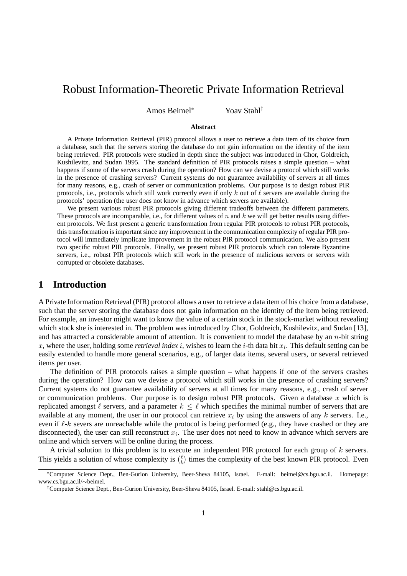# Robust Information-Theoretic Private Information Retrieval

Amos Beimel<sup>∗</sup> Yoav Stahl<sup>†</sup>

#### **Abstract**

A Private Information Retrieval (PIR) protocol allows a user to retrieve a data item of its choice from a database, such that the servers storing the database do not gain information on the identity of the item being retrieved. PIR protocols were studied in depth since the subject was introduced in Chor, Goldreich, Kushilevitz, and Sudan 1995. The standard definition of PIR protocols raises a simple question – what happens if some of the servers crash during the operation? How can we devise a protocol which still works in the presence of crashing servers? Current systems do not guarantee availability of servers at all times for many reasons, e.g., crash of server or communication problems. Our purpose is to design robust PIR protocols, i.e., protocols which still work correctly even if only k out of  $\ell$  servers are available during the protocols' operation (the user does not know in advance which servers are available).

We present various robust PIR protocols giving different tradeoffs between the different parameters. These protocols are incomparable, i.e., for different values of n and  $k$  we will get better results using different protocols. We first present a generic transformation from regular PIR protocols to robust PIR protocols, this transformation is important since any improvement in the communication complexity of regular PIR protocol will immediately implicate improvement in the robust PIR protocol communication. We also present two specific robust PIR protocols. Finally, we present robust PIR protocols which can tolerate Byzantine servers, i.e., robust PIR protocols which still work in the presence of malicious servers or servers with corrupted or obsolete databases.

# **1 Introduction**

A Private Information Retrieval (PIR) protocol allows a user to retrieve a data item of his choice from a database, such that the server storing the database does not gain information on the identity of the item being retrieved. For example, an investor might want to know the value of a certain stock in the stock-market without revealing which stock she is interested in. The problem was introduced by Chor, Goldreich, Kushilevitz, and Sudan [13], and has attracted a considerable amount of attention. It is convenient to model the database by an  $n$ -bit string  $x$ , where the user, holding some *retrieval index i*, wishes to learn the *i*-th data bit  $x_i$ . This default setting can be easily extended to handle more general scenarios, e.g., of larger data items, several users, or several retrieved items per user.

The definition of PIR protocols raises a simple question – what happens if one of the servers crashes during the operation? How can we devise a protocol which still works in the presence of crashing servers? Current systems do not guarantee availability of servers at all times for many reasons, e.g., crash of server or communication problems. Our purpose is to design robust PIR protocols. Given a database  $x$  which is replicated amongst  $\ell$  servers, and a parameter  $k \leq \ell$  which specifies the minimal number of servers that are available at any moment, the user in our protocol can retrieve  $x_i$  by using the answers of any k servers. I.e., even if  $\ell$ -k severs are unreachable while the protocol is being performed (e.g., they have crashed or they are disconnected), the user can still reconstruct  $x_i$ . The user does not need to know in advance which servers are online and which servers will be online during the process.

A trivial solution to this problem is to execute an independent PIR protocol for each group of  $k$  servers. This yields a solution of whose complexity is  $\binom{\ell}{k}$  $\binom{k}{k}$  times the complexity of the best known PIR protocol. Even

<sup>∗</sup>Computer Science Dept., Ben-Gurion University, Beer-Sheva 84105, Israel. E-mail: beimel@cs.bgu.ac.il. Homepage: www.cs.bgu.ac.il/∼beimel.

<sup>†</sup>Computer Science Dept., Ben-Gurion University, Beer-Sheva 84105, Israel. E-mail: stahl@cs.bgu.ac.il.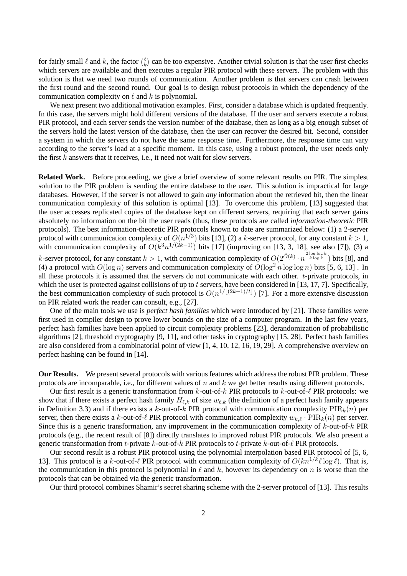for fairly small  $\ell$  and k, the factor  $\binom{\ell}{k}$  $\binom{k}{k}$  can be too expensive. Another trivial solution is that the user first checks which servers are available and then executes a regular PIR protocol with these servers. The problem with this solution is that we need two rounds of communication. Another problem is that servers can crash between the first round and the second round. Our goal is to design robust protocols in which the dependency of the communication complexity on  $\ell$  and  $k$  is polynomial.

We next present two additional motivation examples. First, consider a database which is updated frequently. In this case, the servers might hold different versions of the database. If the user and servers execute a robust PIR protocol, and each server sends the version number of the database, then as long as a big enough subset of the servers hold the latest version of the database, then the user can recover the desired bit. Second, consider a system in which the servers do not have the same response time. Furthermore, the response time can vary according to the server's load at a specific moment. In this case, using a robust protocol, the user needs only the first  $k$  answers that it receives, i.e., it need not wait for slow servers.

**Related Work.** Before proceeding, we give a brief overview of some relevant results on PIR. The simplest solution to the PIR problem is sending the entire database to the user. This solution is impractical for large databases. However, if the server is not allowed to gain *any* information about the retrieved bit, then the linear communication complexity of this solution is optimal [13]. To overcome this problem, [13] suggested that the user accesses replicated copies of the database kept on different servers, requiring that each server gains absolutely no information on the bit the user reads (thus, these protocols are called *information-theoretic* PIR protocols). The best information-theoretic PIR protocols known to date are summarized below: (1) a 2-server protocol with communication complexity of  $O(n^{1/3})$  bits [13], (2) a k-server protocol, for any constant  $k > 1$ , with communication complexity of  $O(k^3n^{1/(2k-1)})$  bits [17] (improving on [13, 3, 18], see also [7]), (3) a k-server protocol, for any constant  $k > 1$ , with communication complexity of  $O(2^{\tilde{O}(k)} \cdot n^{\frac{2 \log \log k}{k \log k}})$  bits [8], and (4) a protocol with  $O(\log n)$  servers and communication complexity of  $O(\log^2 n \log \log n)$  bits [5, 6, 13]. In all these protocols it is assumed that the servers do not communicate with each other. t-private protocols, in which the user is protected against collisions of up to t servers, have been considered in [13, 17, 7]. Specifically, the best communication complexity of such protocol is  $O(n^{1/[(2k-1)/t]})$  [7]. For a more extensive discussion

on PIR related work the reader can consult, e.g., [27].

One of the main tools we use is *perfect hash families* which were introduced by [21]. These families were first used in compiler design to prove lower bounds on the size of a computer program. In the last few years, perfect hash families have been applied to circuit complexity problems [23], derandomization of probabilistic algorithms [2], threshold cryptography [9, 11], and other tasks in cryptography [15, 28]. Perfect hash families are also considered from a combinatorial point of view [1, 4, 10, 12, 16, 19, 29]. A comprehensive overview on perfect hashing can be found in [14].

**Our Results.** We present several protocols with various features which address the robust PIR problem. These protocols are incomparable, i.e., for different values of  $n$  and  $k$  we get better results using different protocols.

Our first result is a generic transformation from  $k$ -out-of- $k$  PIR protocols to  $k$ -out-of- $\ell$  PIR protocols: we show that if there exists a perfect hash family  $H_{\ell,k}$  of size  $w_{\ell,k}$  (the definition of a perfect hash family appears in Definition 3.3) and if there exists a k-out-of-k PIR protocol with communication complexity  $\text{PIR}_k(n)$  per server, then there exists a k-out-of- $\ell$  PIR protocol with communication complexity  $w_{k,\ell} \cdot \text{PIR}_k(n)$  per server. Since this is a generic transformation, any improvement in the communication complexity of k-out-of-k PIR protocols (e.g., the recent result of [8]) directly translates to improved robust PIR protocols. We also present a generic transformation from t-private k-out-of-k PIR protocols to t-private k-out-of- $\ell$  PIR protocols.

Our second result is a robust PIR protocol using the polynomial interpolation based PIR protocol of [5, 6, 13]. This protocol is a k-out-of- $\ell$  PIR protocol with communication complexity of  $O(kn^{1/k} \ell \log \ell)$ . That is, the communication in this protocol is polynomial in  $\ell$  and k, however its dependency on n is worse than the protocols that can be obtained via the generic transformation.

Our third protocol combines Shamir's secret sharing scheme with the 2-server protocol of [13]. This results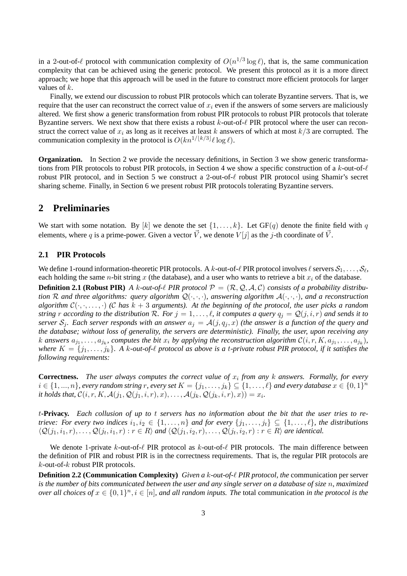in a 2-out-of- $\ell$  protocol with communication complexity of  $O(n^{1/3} \log \ell)$ , that is, the same communication complexity that can be achieved using the generic protocol. We present this protocol as it is a more direct approach; we hope that this approach will be used in the future to construct more efficient protocols for larger values of k.

Finally, we extend our discussion to robust PIR protocols which can tolerate Byzantine servers. That is, we require that the user can reconstruct the correct value of  $x_i$  even if the answers of some servers are maliciously altered. We first show a generic transformation from robust PIR protocols to robust PIR protocols that tolerate Byzantine servers. We next show that there exists a robust  $k$ -out-of- $\ell$  PIR protocol where the user can reconstruct the correct value of  $x_i$  as long as it receives at least k answers of which at most  $k/3$  are corrupted. The communication complexity in the protocol is  $O(kn^{1/[k/3]}\ell \log \ell)$ .

**Organization.** In Section 2 we provide the necessary definitions, in Section 3 we show generic transformations from PIR protocols to robust PIR protocols, in Section 4 we show a specific construction of a  $k$ -out-of- $\ell$ robust PIR protocol, and in Section 5 we construct a 2-out-of- $\ell$  robust PIR protocol using Shamir's secret sharing scheme. Finally, in Section 6 we present robust PIR protocols tolerating Byzantine servers.

# **2 Preliminaries**

We start with some notation. By |k| we denote the set  $\{1, \ldots, k\}$ . Let  $GF(q)$  denote the finite field with q elements, where q is a prime-power. Given a vector  $\vec{V}$ , we denote  $V[j]$  as the j-th coordinate of  $\vec{V}$ .

#### **2.1 PIR Protocols**

We define 1-round information-theoretic PIR protocols. A k-out-of- $\ell$  PIR protocol involves  $\ell$  servers  $S_1, \ldots, S_\ell$ , each holding the same *n*-bit string x (the database), and a user who wants to retrieve a bit  $x_i$  of the database.

**Definition 2.1 (Robust PIR)** *A k-out-of-* $\ell$  *PIR protocol*  $\mathcal{P} = (\mathcal{R}, \mathcal{Q}, \mathcal{A}, \mathcal{C})$  *consists of a probability distribution* R and three algorithms: query algorithm  $\mathcal{Q}(\cdot,\cdot,\cdot)$ , answering algorithm  $\mathcal{A}(\cdot,\cdot,\cdot)$ , and a reconstruction *algorithm*  $C(\cdot, \cdot, \ldots, \cdot)$  *(C has k + 3 arguments). At the beginning of the protocol, the user picks a random string* r according to the distribution R. For  $j = 1, ..., \ell$ , it computes a query  $q_j = Q(j, i, r)$  and sends it to *server*  $S_j$ *. Each server responds with an answer*  $a_j = A(j, q_j, x)$  *(the answer is a function of the query and the database; without loss of generality, the servers are deterministic). Finally, the user, upon receiving any* k answers  $a_{j_1}, \ldots, a_{j_k}$ , computes the bit  $x_i$  by applying the reconstruction algorithm  $\mathcal{C}(i, r, K, a_{j_1}, \ldots, a_{j_k})$ , *where*  $K = \{j_1, \ldots, j_k\}$ . A k-out-of- $\ell$  protocol as above is a t-private robust PIR protocol, if it satisfies the *following requirements:*

**Correctness.** *The user always computes the correct value of* x<sup>i</sup> *from any* k *answers. Formally, for every*  $i \in \{1,...,n\}$ , every random string  $r$ , every set  $K = \{j_1,...,j_k\} \subseteq \{1,...,\ell\}$  and every database  $x \in \{0,1\}^n$ it holds that,  $\mathcal{C}(i, r, K, \mathcal{A}(j_1, \mathcal{Q}(j_1, i, r), x), \dots, \mathcal{A}(j_k, \mathcal{Q}(j_k, i, r), x)) = x_i.$ 

t**-Privacy.** *Each collusion of up to* t *servers has no information about the bit that the user tries to retrieve: For every two indices*  $i_1, i_2 \in \{1, ..., n\}$  *and for every*  $\{j_1, ..., j_t\} \subseteq \{1, ..., \ell\}$ , the distributions  $\langle \mathcal{Q}(j_1, i_1, r), \ldots, \mathcal{Q}(j_t, i_1, r) : r \in R \rangle$  and  $\langle \mathcal{Q}(j_1, i_2, r), \ldots, \mathcal{Q}(j_t, i_2, r) : r \in R \rangle$  are identical.

We denote 1-private k-out-of- $\ell$  PIR protocol as k-out-of- $\ell$  PIR protocols. The main difference between the definition of PIR and robust PIR is in the correctness requirements. That is, the regular PIR protocols are  $k$ -out-of- $k$  robust PIR protocols.

**Definition 2.2 (Communication Complexity)** *Given a k-out-of-*  $\ell$  *PIR protocol, the* communication per server *is the number of bits communicated between the user and any single server on a database of size* n*, maximized over all choices of*  $x \in \{0,1\}^n$ ,  $i \in [n]$ , and all random inputs. The total communication in the protocol is the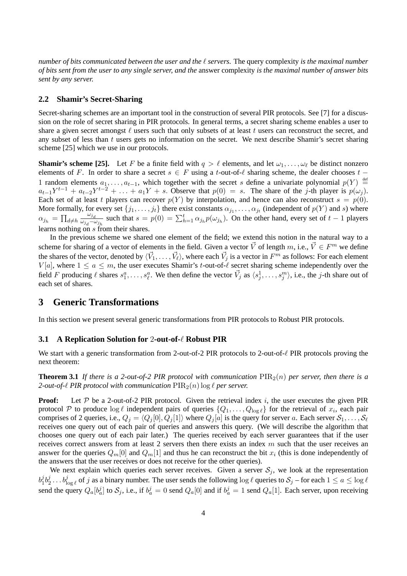*number of bits communicated between the user and the*  $\ell$  *servers. The query complexity is the maximal number of bits sent from the user to any single server, and the* answer complexity *is the maximal number of answer bits sent by any server.*

#### **2.2 Shamir's Secret-Sharing**

Secret-sharing schemes are an important tool in the construction of several PIR protocols. See [7] for a discussion on the role of secret sharing in PIR protocols. In general terms, a secret sharing scheme enables a user to share a given secret amongst  $\ell$  users such that only subsets of at least t users can reconstruct the secret, and any subset of less than  $t$  users gets no information on the secret. We next describe Shamir's secret sharing scheme [25] which we use in our protocols.

**Shamir's scheme [25].** Let F be a finite field with  $q > \ell$  elements, and let  $\omega_1, \ldots, \omega_\ell$  be distinct nonzero elements of F. In order to share a secret  $s \in F$  using a t-out-of- $\ell$  sharing scheme, the dealer chooses t − 1 random elements  $a_1, \ldots, a_{t-1}$ , which together with the secret s define a univariate polynomial  $p(Y) \stackrel{\text{def}}{=}$  $a_{t-1}Y^{t-1} + a_{t-2}Y^{t-2} + \ldots + a_1Y + s$ . Observe that  $p(0) = s$ . The share of the j-th player is  $p(\omega_j)$ . Each set of at least t players can recover  $p(Y)$  by interpolation, and hence can also reconstruct  $s = p(0)$ . More formally, for every set  $\{j_1, \ldots, j_t\}$  there exist constants  $\alpha_{j_1}, \ldots, \alpha_{j_t}$  (independent of  $p(Y)$  and s) where  $\alpha_{j_h} = \prod_{d \neq h} \frac{\omega_{j_d}}{\omega_{j, -\omega}}$  $\frac{\omega_{j_d}}{\omega_{j_d}-\omega_{j_h}}$  such that  $s=p(0)=\sum_{h=1}^t \alpha_{j_h} p(\omega_{j_h})$ . On the other hand, every set of  $t-1$  players learns nothing on s from their shares.

In the previous scheme we shared one element of the field; we extend this notion in the natural way to a scheme for sharing of a vector of elements in the field. Given a vector  $\vec{V}$  of length m, i.e.,  $\vec{V} \in F^m$  we define the shares of the vector, denoted by  $\langle \vec{V}_1,\ldots,\vec{V}_\ell\rangle$ , where each  $\vec{V}_j$  is a vector in  $F^m$  as follows: For each element  $V[a]$ , where  $1 \le a \le m$ , the user executes Shamir's t-out-of- $\ell$  secret sharing scheme independently over the field F producing  $\ell$  shares  $s_1^a, \ldots, s_\ell^a$ . We then define the vector  $\vec{V}_j$  as  $\langle s_j^1, \ldots, s_j^m \rangle$ , i.e., the j-th share out of each set of shares.

### **3 Generic Transformations**

In this section we present several generic transformations from PIR protocols to Robust PIR protocols.

#### **3.1** A Replication Solution for 2-out-of- $\ell$  Robust PIR

We start with a generic transformation from 2-out-of-2 PIR protocols to 2-out-of- $\ell$  PIR protocols proving the next theorem:

**Theorem 3.1** *If there is a 2-out-of-2 PIR protocol with communication*  $PIR_2(n)$  *per server, then there is a 2-out-of-* $\ell$  *PIR protocol with communication*  $\text{PIR}_2(n) \log \ell$  *per server.* 

**Proof:** Let  $P$  be a 2-out-of-2 PIR protocol. Given the retrieval index i, the user executes the given PIR protocol P to produce  $\log \ell$  independent pairs of queries  $\{Q_1, \ldots, Q_{\log \ell}\}\$  for the retrieval of  $x_i$ , each pair comprises of 2 queries, i.e.,  $Q_j = \langle Q_j [0], Q_j [1] \rangle$  where  $Q_j [a]$  is the query for server a. Each server  $S_1, \ldots, S_\ell$ receives one query out of each pair of queries and answers this query. (We will describe the algorithm that chooses one query out of each pair later.) The queries received by each server guarantees that if the user receives correct answers from at least 2 servers then there exists an index  $m$  such that the user receives an answer for the queries  $Q_m[0]$  and  $Q_m[1]$  and thus he can reconstruct the bit  $x_i$  (this is done independently of the answers that the user receives or does not receive for the other queries).

We next explain which queries each server receives. Given a server  $S_j$ , we look at the representation  $b_1^j$  $\frac{j}{1}b_2^j$  $b_2^j \ldots b_{\log \ell}^j$  of j as a binary number. The user sends the following  $\log \ell$  queries to  $\mathcal{S}_j$  – for each  $1 \le a \le \log \ell$ send the query  $Q_a[b_a^j]$  to  $S_j$ , i.e., if  $b_a^j = 0$  send  $Q_a[0]$  and if  $b_a^j = 1$  send  $Q_a[1]$ . Each server, upon receiving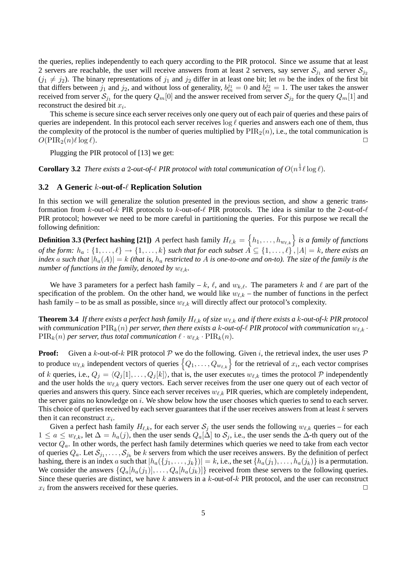the queries, replies independently to each query according to the PIR protocol. Since we assume that at least 2 servers are reachable, the user will receive answers from at least 2 servers, say server  $S_{j_1}$  and server  $S_{j_2}$  $(j_1 \neq j_2)$ . The binary representations of  $j_1$  and  $j_2$  differ in at least one bit; let m be the index of the first bit that differs between  $j_1$  and  $j_2$ , and without loss of generality,  $b_m^{j_1} = 0$  and  $b_m^{j_2} = 1$ . The user takes the answer received from server  $S_{j_1}$  for the query  $Q_m[0]$  and the answer received from server  $S_{j_2}$  for the query  $Q_m[1]$  and reconstruct the desired bit  $x_i$ .

This scheme is secure since each server receives only one query out of each pair of queries and these pairs of queries are independent. In this protocol each server receives  $\log \ell$  queries and answers each one of them, thus the complexity of the protocol is the number of queries multiplied by  $PIR<sub>2</sub>(n)$ , i.e., the total communication is  $O(\text{PIR}_2(n)\ell \log \ell).$ 

Plugging the PIR protocol of [13] we get:

**Corollary 3.2** *There exists a 2-out-of-* $\ell$  *PIR protocol with total communication of*  $O(n^{\frac{1}{3}}\ell \log \ell)$ *.* 

#### **3.2** A Generic k-out-of- $\ell$  Replication Solution

In this section we will generalize the solution presented in the previous section, and show a generic transformation from k-out-of-k PIR protocols to k-out-of- $\ell$  PIR protocols. The idea is similar to the 2-out-of- $\ell$ PIR protocol; however we need to be more careful in partitioning the queries. For this purpose we recall the following definition:

**Definition 3.3 (Perfect hashing [21])** *A* perfect hash family  $H_{\ell,k} = \{h_1, \ldots, h_{w_{\ell,k}}\}$  is a family of functions *of the form:*  $h_a: \{1,\ldots,\ell\} \to \{1,\ldots,k\}$  *such that for each subset*  $A \subseteq \{1,\ldots,\ell\}$ ,  $|A| = k$ *, there exists an index* a such that  $|h_a(A)| = k$  *(that is,*  $h_a$  *restricted to* A *is one-to-one and on-to). The size of the family is the number of functions in the family, denoted by*  $w_{\ell,k}$ *.* 

We have 3 parameters for a perfect hash family – k,  $\ell$ , and  $w_{k,\ell}$ . The parameters k and  $\ell$  are part of the specification of the problem. On the other hand, we would like  $w_{\ell,k}$  – the number of functions in the perfect hash family – to be as small as possible, since  $w_{\ell,k}$  will directly affect our protocol's complexity.

**Theorem 3.4** If there exists a perfect hash family  $H_{\ell,k}$  of size  $w_{\ell,k}$  and if there exists a k-out-of-k PIR protocol with communication  $\text{PIR}_k(n)$  *per server, then there exists a k-out-of-* $\ell$  *PIR protocol with communication*  $w_{\ell,k}$ .  $\text{PIR}_k(n)$  *per server, thus total communication*  $\ell \cdot w_{\ell,k} \cdot \text{PIR}_k(n)$ *.* 

**Proof:** Given a k-out-of-k PIR protocol  $P$  we do the following. Given i, the retrieval index, the user uses  $P$ to produce  $w_{\ell,k}$  independent vectors of queries  $\{Q_1,\ldots,Q_{w_{\ell,k}}\}$  for the retrieval of  $x_i$ , each vector comprises of k queries, i.e.,  $Q_j = \langle Q_j [1], \ldots, Q_j [k] \rangle$ , that is, the user executes  $w_{\ell,k}$  times the protocol P independently and the user holds the  $w_{\ell,k}$  query vectors. Each server receives from the user one query out of each vector of queries and answers this query. Since each server receives  $w_{\ell,k}$  PIR queries, which are completely independent, the server gains no knowledge on i. We show below how the user chooses which queries to send to each server. This choice of queries received by each server guarantees that if the user receives answers from at least  $k$  servers then it can reconstruct  $x_i$ .

Given a perfect hash family  $H_{\ell,k}$ , for each server  $S_j$  the user sends the following  $w_{\ell,k}$  queries – for each  $1 \le a \le w_{\ell,k}$ , let  $\Delta = h_a(j)$ , then the user sends  $Q_a[\Delta]$  to  $S_j$ , i.e., the user sends the  $\Delta$ -th query out of the vector  $Q_a$ . In other words, the perfect hash family determines which queries we need to take from each vector of queries  $Q_a$ . Let  $S_{j_1}, \ldots, S_{j_k}$  be k servers from which the user receives answers. By the definition of perfect hashing, there is an index a such that  $|h_a({j_1, \ldots, j_k})| = k$ , i.e., the set  $\{h_a(j_1), \ldots, h_a(j_k)\}$  is a permutation. We consider the answers  $\{Q_a[h_a(j_1)], \ldots, Q_a[h_a(j_k)]\}$  received from these servers to the following queries. Since these queries are distinct, we have k answers in a k-out-of-k PIR protocol, and the user can reconstruct  $x_i$  from the answers received for these queries.  $\Box$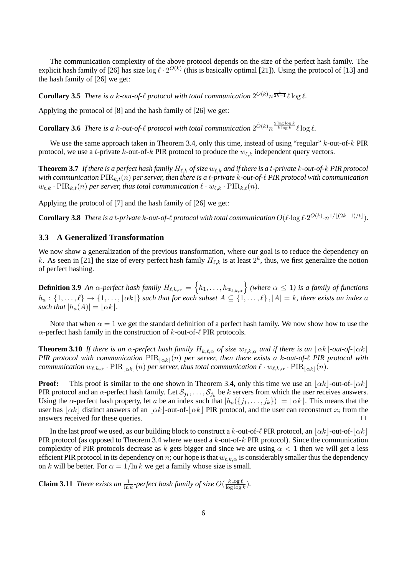The communication complexity of the above protocol depends on the size of the perfect hash family. The explicit hash family of [26] has size  $\log \ell \cdot 2^{O(k)}$  (this is basically optimal [21]). Using the protocol of [13] and the hash family of [26] we get:

**Corollary 3.5** *There is a k-out-of-* $\ell$  *protocol with total communication*  $2^{O(k)} n^{\frac{1}{2k-1}} \ell \log \ell$ .

Applying the protocol of [8] and the hash family of [26] we get:

**Corollary 3.6** *There is a k-out-of-* $\ell$  *protocol with total communication*  $2^{\tilde{O}(k)} n^{\frac{2 \log \log k}{k \log k}} \ell \log \ell$ .

We use the same approach taken in Theorem 3.4, only this time, instead of using "regular"  $k$ -out-of- $k$  PIR protocol, we use a t-private k-out-of-k PIR protocol to produce the  $w_{\ell,k}$  independent query vectors.

**Theorem 3.7** If there is a perfect hash family  $H_{\ell,k}$  of size  $w_{\ell,k}$  and if there is a t-private k-out-of-k PIR protocol *with communication*  $\text{PIR}_{k,t}(n)$  *per server, then there is a t-private* k-*out-of-* $\ell$  *PIR protocol with communication*  $w_{\ell,k}$  ·  $\text{PIR}_{k,t}(n)$  *per server, thus total communication*  $\ell \cdot w_{\ell,k}$  ·  $\text{PIR}_{k,t}(n)$ *.* 

Applying the protocol of [7] and the hash family of [26] we get:

**Corollary 3.8** *There is a t-private k-out-of-* $\ell$  *protocol with total communication*  $O(\ell \cdot \log \ell \cdot 2^{O(k)} \cdot n^{1/(2k-1)/t})$ .

### **3.3 A Generalized Transformation**

We now show a generalization of the previous transformation, where our goal is to reduce the dependency on k. As seen in [21] the size of every perfect hash family  $H_{\ell,k}$  is at least  $2^k$ , thus, we first generalize the notion of perfect hashing.

**Definition 3.9** An  $\alpha$ -perfect hash family  $H_{\ell,k,\alpha} = \{h_1,\ldots,h_{w_{\ell,k,\alpha}}\}$  (where  $\alpha \leq 1$ ) is a family of functions  $h_a: \{1,\ldots,\ell\} \to \{1,\ldots,\lfloor \alpha k \rfloor\}$  such that for each subset  $A \subseteq \{1,\ldots,\ell\}$  ,  $|A| = k$ , there exists an index a *such that*  $|h_a(A)| = |\alpha k|$ .

Note that when  $\alpha = 1$  we get the standard definition of a perfect hash family. We now show how to use the  $\alpha$ -perfect hash family in the construction of k-out-of- $\ell$  PIR protocols.

**Theorem 3.10** *If there is an*  $\alpha$ -perfect hash family  $H_{k,\ell,\alpha}$  *of size*  $w_{\ell,k,\alpha}$  *and if there is an*  $\lfloor \alpha k \rfloor$ -out-of- $\lfloor \alpha k \rfloor$ *PIR protocol with communication*  $\text{PIR}_{|\alpha k|}(n)$  *per server, then there exists a k-out-of-* $\ell$  *PIR protocol with communication*  $w_{\ell,k,\alpha}$  ·  $\text{PIR}_{|\alpha k|}(n)$  *per server, thus total communication*  $\ell \cdot w_{\ell,k,\alpha}$  ·  $\text{PIR}_{|\alpha k|}(n)$ .

**Proof:** This proof is similar to the one shown in Theorem 3.4, only this time we use an  $\alpha k$ -out-of- $\alpha k$ PIR protocol and an  $\alpha$ -perfect hash family. Let  $S_{j_1},\ldots,S_{j_k}$  be k servers from which the user receives answers. Using the  $\alpha$ -perfect hash property, let a be an index such that  $|h_a({j_1},...,j_k)| = [\alpha k]$ . This means that the user has  $|\alpha k|$  distinct answers of an  $|\alpha k|$ -out-of- $|\alpha k|$  PIR protocol, and the user can reconstruct  $x_i$  from the answers received for these queries.  $\Box$ 

In the last proof we used, as our building block to construct a k-out-of- $\ell$  PIR protocol, an  $|\alpha k|$ -out-of- $|\alpha k|$ PIR protocol (as opposed to Theorem 3.4 where we used a  $k$ -out-of- $k$  PIR protocol). Since the communication complexity of PIR protocols decrease as k gets bigger and since we are using  $\alpha < 1$  then we will get a less efficient PIR protocol in its dependency on n; our hope is that  $w_{\ell,k,\alpha}$  is considerably smaller thus the dependency on k will be better. For  $\alpha = 1/\ln k$  we get a family whose size is small.

**Claim 3.11** *There exists an*  $\frac{1}{\ln k}$ -perfect hash family of size  $O(\frac{k \log \ell}{\log \log k})$  $\frac{k \log \ell}{\log \log k}$ ).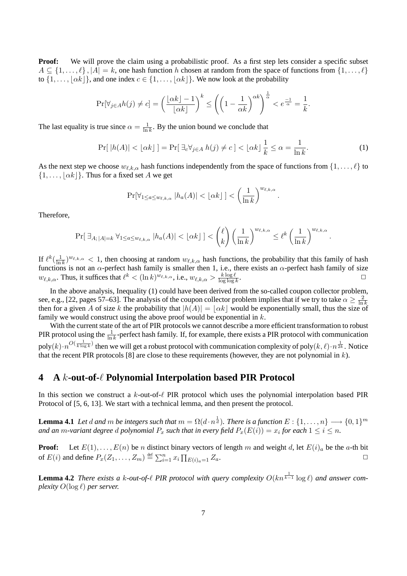**Proof:** We will prove the claim using a probabilistic proof. As a first step lets consider a specific subset  $A \subseteq \{1, \ldots, \ell\}, |A| = k$ , one hash function h chosen at random from the space of functions from  $\{1, \ldots, \ell\}$ to  $\{1, \ldots, |\alpha k|\}$ , and one index  $c \in \{1, \ldots, |\alpha k|\}$ . We now look at the probability

$$
\Pr[\forall_{j\in A} h(j)\neq c] = \left(\frac{\lfloor \alpha k \rfloor - 1}{\lfloor \alpha k \rfloor}\right)^k \le \left(\left(1 - \frac{1}{\alpha k}\right)^{\alpha k}\right)^{\frac{1}{\alpha}} < e^{\frac{-1}{\alpha}} = \frac{1}{k}.
$$

The last equality is true since  $\alpha = \frac{1}{\ln n}$  $\frac{1}{\ln k}$ . By the union bound we conclude that

$$
\Pr[ |h(A)| < \lfloor \alpha k \rfloor ] = \Pr[ \exists_c \forall_{j \in A} h(j) \neq c ] < \lfloor \alpha k \rfloor \frac{1}{k} \leq \alpha = \frac{1}{\ln k}.
$$
 (1)

.

.

As the next step we choose  $w_{\ell,k,\alpha}$  hash functions independently from the space of functions from  $\{1,\ldots,\ell\}$  to  $\{1, \ldots, |\alpha k|\}.$  Thus for a fixed set A we get

$$
\Pr[\forall_{1 \le a \le w_{\ell,k,\alpha}} | h_a(A) | < \lfloor \alpha k \rfloor ] < \left(\frac{1}{\ln k}\right)^{w_{\ell,k,\alpha}}
$$

Therefore,

$$
\Pr[\exists_{A;|A|=k} \forall_{1\leq a\leq w_{\ell,k,\alpha}} |h_a(A)| < \lfloor \alpha k \rfloor] < \binom{\ell}{k} \left(\frac{1}{\ln k}\right)^{w_{\ell,k,\alpha}} \leq \ell^k \left(\frac{1}{\ln k}\right)^{w_{\ell,k,\alpha}}
$$

If  $\ell^k(\frac{1}{\ln k})^{w_{\ell,k,\alpha}} < 1$ , then choosing at random  $w_{\ell,k,\alpha}$  hash functions, the probability that this family of hash  $\frac{d}{d\ln k}$   $\frac{d}{d\ln k}$   $\frac{d}{d\ln k}$   $\frac{d}{d\ln k}$  1, then choosing at random  $w_{\ell,k,\alpha}$  hash functions, the probability that this rainity of hash family of size  $w_{\ell,k,\alpha}$ . Thus, it suffices that  $\ell^k < (\ln k)^{w_{\ell,k,\alpha}}$ , i.e.,  $w_{\ell,k,\alpha} > \frac{k \log \ell}{\log \log n}$  $\frac{k \log \ell}{\log \log k}$ .

In the above analysis, Inequality (1) could have been derived from the so-called coupon collector problem, see, e.g., [22, pages 57–63]. The analysis of the coupon collector problem implies that if we try to take  $\alpha \geq \frac{2}{\ln n}$  $\ln k$ then for a given A of size k the probability that  $|h(A)| = |\alpha k|$  would be exponentially small, thus the size of family we would construct using the above proof would be exponential in  $k$ .

With the current state of the art of PIR protocols we cannot describe a more efficient transformation to robust PIR protocol using the  $\frac{1}{\ln k}$ -perfect hash family. If, for example, there exists a PIR protocol with communication  $poly(k) \cdot n^{O(\frac{1}{k \log k})}$  then we will get a robust protocol with communication complexity of poly $(k, \ell) \cdot n^{\frac{1}{2k}}$ . Notice that the recent PIR protocols  $[8]$  are close to these requirements (however, they are not polynomial in k).

# **4 A** k**-out-of-**` **Polynomial Interpolation based PIR Protocol**

In this section we construct a  $k$ -out-of- $\ell$  PIR protocol which uses the polynomial interpolation based PIR Protocol of [5, 6, 13]. We start with a technical lemma, and then present the protocol.

**Lemma 4.1** Let  $d$  and  $m$  be integers such that  $m = \Omega(d \cdot n^{\frac{1}{d}})$ . There is a function  $E: \{1, \ldots, n\} \longrightarrow \{0, 1\}^m$ and an m-variant degree  $d$  polynomial  $P_x$  such that in every field  $P_x(E(i)) = x_i$  for each  $1 \leq i \leq n$ .

**Proof:** Let  $E(1), \ldots, E(n)$  be n distinct binary vectors of length m and weight d, let  $E(i)<sub>a</sub>$  be the a-th bit of  $E(i)$  and define  $P_x(Z_1, \ldots, Z_m) \stackrel{\text{def}}{=} \sum_{i=1}^n x_i \prod_{E(i)_a=1} Z_a$ .

**Lemma 4.2** *There exists a k-out-of-* $\ell$  *PIR protocol with query complexity*  $O(kn^{\frac{1}{k-1}}\log \ell)$  *and answer complexity*  $O(\log \ell)$  *per server.*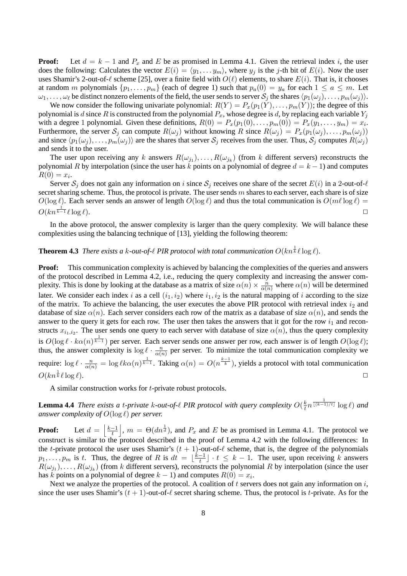**Proof:** Let  $d = k - 1$  and  $P_x$  and E be as promised in Lemma 4.1. Given the retrieval index i, the user does the following: Calculates the vector  $E(i) = \langle y_1, \ldots, y_m \rangle$ , where  $y_j$  is the j-th bit of  $E(i)$ . Now the user uses Shamir's 2-out-of- $\ell$  scheme [25], over a finite field with  $O(\ell)$  elements, to share  $E(i)$ . That is, it chooses at random m polynomials  $\{p_1, \ldots, p_m\}$  (each of degree 1) such that  $p_a(0) = y_a$  for each  $1 \le a \le m$ . Let  $\omega_1, \ldots, \omega_\ell$  be distinct nonzero elements of the field, the user sends to server  $S_j$  the shares  $\langle p_1(\omega_j), \ldots, p_m(\omega_j) \rangle$ .

We now consider the following univariate polynomial:  $R(Y) = P_x(p_1(Y), \ldots, p_m(Y))$ ; the degree of this polynomial is d since R is constructed from the polynomial  $P_x$ , whose degree is d, by replacing each variable  $Y_i$ with a degree 1 polynomial. Given these definitions,  $R(0) = P_x(p_1(0), \ldots, p_m(0)) = P_x(y_1, \ldots, y_m) = x_i$ . Furthermore, the server  $S_j$  can compute  $R(\omega_j)$  without knowing R since  $R(\omega_j) = P_x(p_1(\omega_j), \dots, p_m(\omega_j))$ and since  $\langle p_1(\omega_j), \ldots, p_m(\omega_j) \rangle$  are the shares that server  $\mathcal{S}_j$  receives from the user. Thus,  $\mathcal{S}_j$  computes  $R(\omega_j)$ and sends it to the user.

The user upon receiving any k answers  $R(\omega_{j_1}), \ldots, R(\omega_{j_k})$  (from k different servers) reconstructs the polynomial R by interpolation (since the user has k points on a polynomial of degree  $d = k - 1$ ) and computes  $R(0) = x_i.$ 

Server  $S_i$  does not gain any information on i since  $S_i$  receives one share of the secret  $E(i)$  in a 2-out-of- $\ell$ secret sharing scheme. Thus, the protocol is private. The user sends  $m$  shares to each server, each share is of size  $O(\log \ell)$ . Each server sends an answer of length  $O(\log \ell)$  and thus the total communication is  $O(m\ell \log \ell)$  =  $O(kn^{\frac{1}{k-1}})$  $\frac{1}{k-1} \ell \log \ell$ .

In the above protocol, the answer complexity is larger than the query complexity. We will balance these complexities using the balancing technique of [13], yielding the following theorem:

# **Theorem 4.3** *There exists a k-out-of-* $\ell$  *PIR protocol with total communication*  $O(kn^{\frac{1}{k}}\ell \log \ell)$ *.*

**Proof:** This communication complexity is achieved by balancing the complexities of the queries and answers of the protocol described in Lemma 4.2, i.e., reducing the query complexity and increasing the answer complexity. This is done by looking at the database as a matrix of size  $\alpha(n) \times \frac{n}{\alpha(n)}$  where  $\alpha(n)$  will be determined later. We consider each index i as a cell  $(i_1, i_2)$  where  $i_1, i_2$  is the natural mapping of i according to the size of the matrix. To achieve the balancing, the user executes the above PIR protocol with retrieval index  $i_2$  and database of size  $\alpha(n)$ . Each server considers each row of the matrix as a database of size  $\alpha(n)$ , and sends the answer to the query it gets for each row. The user then takes the answers that it got for the row  $i_1$  and reconstructs  $x_{i_1,i_2}$ . The user sends one query to each server with database of size  $\alpha(n)$ , thus the query complexity is  $O(\log \ell \cdot k\alpha(n)^{\frac{1}{k-1}})$  per server. Each server sends one answer per row, each answer is of length  $O(\log \ell)$ ; thus, the answer complexity is  $\log \ell \cdot \frac{n}{\alpha \sqrt{n}}$  $\frac{n}{\alpha(n)}$  per server. To minimize the total communication complexity we require:  $\log \ell \cdot \frac{n}{\alpha(n)} = \log \ell k \alpha(n)^{\frac{1}{k-1}}$ . Taking  $\alpha(n) = O(n^{\frac{k-1}{k}})$ , yields a protocol with total communication  $O(kn^{\frac{1}{k}}\ell\log\ell).$  $\frac{1}{k} \ell \log \ell$ .

A similar construction works for t-private robust protocols.

**Lemma 4.4** *There exists a t-private k-out-of-* $\ell$  *PIR protocol with query complexity*  $O(\frac{k}{\ell})$  $\frac{k}{t} n^{\frac{1}{\left\lfloor (k-1)/t \right\rfloor}} \log \ell)$  and *answer complexity of*  $O(\log \ell)$  *per server.* 

**Proof:** Let  $d = \frac{k-1}{t}$  $\left\lfloor \frac{-1}{t} \right\rfloor$ ,  $m = \Theta(dn^{\frac{1}{d}})$ , and  $P_x$  and E be as promised in Lemma 4.1. The protocol we construct is similar to the protocol described in the proof of Lemma 4.2 with the following differences: In the t-private protocol the user uses Shamir's  $(t + 1)$ -out-of- $\ell$  scheme, that is, the degree of the polynomials  $p_1, \ldots, p_m$  is t. Thus, the degree of R is  $dt = \lfloor \frac{k-1}{t} \rfloor$  $\left[\frac{-1}{t}\right] \cdot t \leq k - 1$ . The user, upon receiving k answers  $R(\omega_{j_1}), \ldots, R(\omega_{j_k})$  (from k different servers), reconstructs the polynomial R by interpolation (since the user has k points on a polynomial of degree  $k - 1$ ) and computes  $R(0) = x_i$ .

Next we analyze the properties of the protocol. A coalition of t servers does not gain any information on  $i$ , since the user uses Shamir's  $(t + 1)$ -out-of- $\ell$  secret sharing scheme. Thus, the protocol is t-private. As for the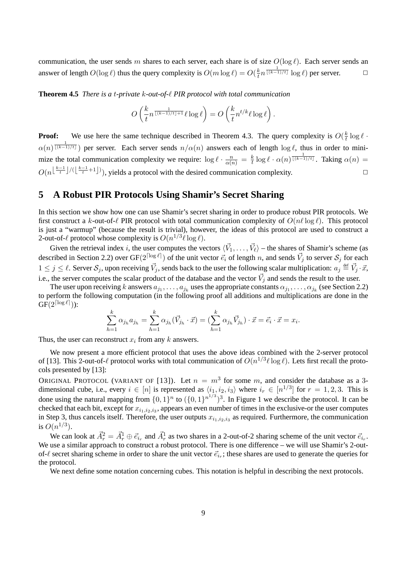communication, the user sends m shares to each server, each share is of size  $O(\log \ell)$ . Each server sends an answer of length  $O(\log \ell)$  thus the query complexity is  $O(m \log \ell) = O(\frac{k}{\ell})$ t n 1 b(k−1)/tc log `) per server. ✷

**Theorem 4.5** *There is a t-private k-out-of-* $\ell$  *PIR protocol with total communication* 

$$
O\left(\frac{k}{t}n^{\frac{1}{\left\lfloor (k-1)/t\right\rfloor+1}}\ell\log\ell\right) = O\left(\frac{k}{t}n^{t/k}\ell\log\ell\right)
$$

.

**Proof:** We use here the same technique described in Theorem 4.3. The query complexity is  $O(\frac{k}{t})$  $\frac{k}{t} \log \ell$ .  $\alpha(n)^{\frac{1}{[(k-1)/t]}}$ ) per server. Each server sends  $n/\alpha(n)$  answers each of length log  $\ell$ , thus in order to minimize the total communication complexity we require:  $\log \ell \cdot \frac{n}{\alpha(n)} = \frac{k}{t}$  $\frac{k}{t} \log \ell \cdot \alpha(n)^{\frac{1}{\lfloor (k-1)/t \rfloor}}$ . Taking  $\alpha(n) =$  $O(n^{\left\lfloor \frac{k-1}{t} \right\rfloor / (\left\lfloor \frac{k-1}{t} + 1 \right\rfloor)})$ , yields a protocol with the desired communication complexity.

### **5 A Robust PIR Protocols Using Shamir's Secret Sharing**

In this section we show how one can use Shamir's secret sharing in order to produce robust PIR protocols. We first construct a k-out-of- $\ell$  PIR protocol with total communication complexity of  $O(n\ell \log \ell)$ . This protocol is just a "warmup" (because the result is trivial), however, the ideas of this protocol are used to construct a 2-out-of- $\ell$  protocol whose complexity is  $O(n^{1/3}\ell \log \ell)$ .

Given the retrieval index *i*, the user computes the vectors  $\langle \vec{V}_1, \ldots, \vec{V}_\ell \rangle$  – the shares of Shamir's scheme (as described in Section 2.2) over  $GF(2^{\lceil \log \ell \rceil})$  of the unit vector  $\vec{e}_i$  of length n, and sends  $\vec{V}_j$  to server  $S_j$  for each  $1 \le j \le \ell$ . Server  $S_j$ , upon receiving  $\vec{V}_j$ , sends back to the user the following scalar multiplication:  $a_j \stackrel{\text{def}}{=} \vec{V}_j \cdot \vec{x}$ , i.e., the server computes the scalar product of the database and the vector  $\vec{V}_j$  and sends the result to the user.

The user upon receiving k answers  $a_{j_1}, \ldots, a_{j_k}$  uses the appropriate constants  $\alpha_{j_1}, \ldots, \alpha_{j_k}$  (see Section 2.2) to perform the following computation (in the following proof all additions and multiplications are done in the  $\mathop{\mathrm{GF}}\nolimits(2^{\lceil \log \ell \rceil})$ ):

$$
\sum_{h=1}^{k} \alpha_{j_h} a_{j_h} = \sum_{h=1}^{k} \alpha_{j_h} (\vec{V}_{j_h} \cdot \vec{x}) = (\sum_{h=1}^{k} \alpha_{j_h} \vec{V}_{j_h}) \cdot \vec{x} = \vec{e}_i \cdot \vec{x} = x_i.
$$

Thus, the user can reconstruct  $x_i$  from any k answers.

We now present a more efficient protocol that uses the above ideas combined with the 2-server protocol of [13]. This 2-out-of- $\ell$  protocol works with total communication of  $O(n^{1/3}\ell \log \ell)$ . Lets first recall the protocols presented by [13]:

ORIGINAL PROTOCOL (VARIANT OF [13]). Let  $n = m<sup>3</sup>$  for some m, and consider the database as a 3dimensional cube, i.e., every  $i \in [n]$  is represented as  $\langle i_1, i_2, i_3 \rangle$  where  $i_r \in [n^{1/3}]$  for  $r = 1, 2, 3$ . This is done using the natural mapping from  $\{0,1\}^n$  to  $(\{0,1\}^{n^{1/3}})^3$ . In Figure 1 we describe the protocol. It can be checked that each bit, except for  $x_{i_1,i_2,i_3}$ , appears an even number of times in the exclusive-or the user computes in Step 3, thus cancels itself. Therefore, the user outputs  $x_{i_1,i_2,i_3}$  as required. Furthermore, the communication is  $O(n^{1/3})$ .

We can look at  $\vec{A}_r^2 = \vec{A}_r^1 \oplus \vec{e}_{i_r}$  and  $\vec{A}_r^1$  as two shares in a 2-out-of-2 sharing scheme of the unit vector  $\vec{e}_{i_r}$ . We use a similar approach to construct a robust protocol. There is one difference – we will use Shamir's 2-outof- $\ell$  secret sharing scheme in order to share the unit vector  $\vec{e}_{i_r}$ ; these shares are used to generate the queries for the protocol.

We next define some notation concerning cubes. This notation is helpful in describing the next protocols.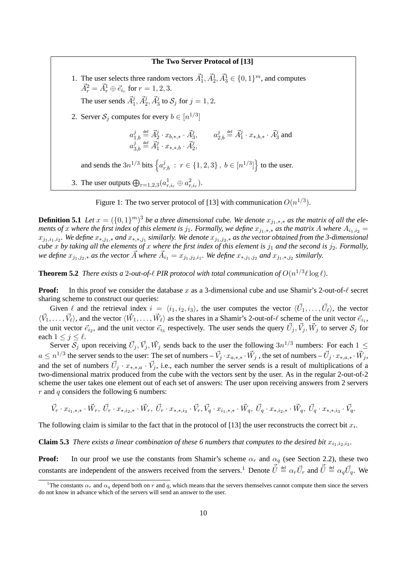#### **The Two Server Protocol of [13]**

1. The user selects three random vectors  $\vec{A}_1^1, \vec{A}_2^1, \vec{A}_3^1 \in \{0, 1\}^m$ , and computes  $\vec{A}_r^2 = \vec{A}_r^1 \oplus \vec{e}_{i_r}$  for  $r = 1, 2, 3$ . The user sends  $\vec{A}_1^j$ ,  $\vec{A}_2^j$ ,  $\vec{A}_3^j$  to  $\mathcal{S}_j$  for  $j = 1, 2$ . 2. Server  $S_j$  computes for every  $b \in [n^{1/3}]$  $a_1^j$  $\vec{A}_{1,b}^j \stackrel{\text{def}}{=} \vec{A}_2^j \cdot x_{b,*,*} \cdot \vec{A}_3^j, \qquad a_2^j$  $\vec{A}^j_{2,b} \stackrel{\text{\tiny def}}{=} \vec{A}^j_1 \cdot x_{*,b,*} \cdot \vec{A}^j_3$  and  $a^j$  $\vec{J}_{3,b} \stackrel{\text{def}}{=} \vec{A}_1^j \cdot x_{*,*,b} \cdot \vec{A}_2^j,$ and sends the  $3n^{1/3}$  bits  $\left\{a_{r,b}^j : r \in \{1,2,3\}, \ b \in [n^{1/3}] \right\}$  to the user. 3. The user outputs  $\bigoplus_{r=1,2,3} (a_{r,i_r}^1 \oplus a_{r,i_r}^2)$ .

Figure 1: The two server protocol of [13] with communication  $O(n^{1/3})$ .

**Definition 5.1** *Let*  $x = (\{0,1\}^m)^3$  *be a three dimensional cube. We denote*  $x_{j_1,*, *}$  *as the matrix of all the elements of* x *where the first index of this element is*  $j_1$ *. Formally, we define*  $x_{j_1,*,*}$  *as the matrix* A *where*  $A_{i_1,i_2}$  =  $x_{j_1,i_1,i_2}$ . We define  $x_{*,j_1,*}$  and  $x_{*,*,j_1}$  similarly. We denote  $x_{j_1,j_2,*}$  as the vector obtained from the 3-dimensional *cube* x by taking all the elements of x where the first index of this element is  $j_1$  and the second is  $j_2$ . Formally, *we define*  $x_{j_1,j_2,*}$  *as the vector*  $\vec{A}$  *where*  $\vec{A}_{i_1} = x_{j_1,j_2,i_1}$ *. We define*  $x_{*,j_1,j_2}$  *and*  $x_{j_1,*,j_2}$  *similarly.* 

**Theorem 5.2** *There exists a 2-out-of-* $\ell$  *PIR protocol with total communication of*  $O(n^{1/3}\ell \log \ell)$ *.* 

**Proof:** In this proof we consider the database x as a 3-dimensional cube and use Shamir's 2-out-of- $\ell$  secret sharing scheme to construct our queries:

Given  $\ell$  and the retrieval index  $i = \langle i_1, i_2, i_3 \rangle$ , the user computes the vector  $\langle \vec{U}_1, \ldots, \vec{U}_\ell \rangle$ , the vector  $\langle \vec{V}_1, \ldots, \vec{V}_\ell \rangle$ , and the vector  $\langle \vec{W}_1, \ldots, \vec{W}_\ell \rangle$  as the shares in a Shamir's 2-out-of- $\ell$  scheme of the unit vector  $\vec{e}_{i_1}$ , the unit vector  $\vec{e}_{i_2}$ , and the unit vector  $\vec{e}_{i_3}$  respectively. The user sends the query  $\vec{U}_j, \vec{V}_j, \vec{W}_j$  to server  $S_j$  for each  $1 \leq j \leq \ell$ .

Server  $S_j$  upon receiving  $\vec{U}_j, \vec{V}_j, \vec{W}_j$  sends back to the user the following  $3n^{1/3}$  numbers: For each  $1 \leq$  $a \leq n^{1/3}$  the server sends to the user: The set of numbers  $-\vec{V}_j \cdot x_{a,*,*} \cdot \vec{W}_j$ , the set of numbers  $-\vec{U}_j \cdot x_{*,a,*} \cdot \vec{W}_j$ , and the set of numbers  $\vec{U}_j \cdot x_{*,*,a} \cdot \vec{V}_j$ , i.e., each number the server sends is a result of multiplications of a two-dimensional matrix produced from the cube with the vectors sent by the user. As in the regular 2-out-of-2 scheme the user takes one element out of each set of answers: The user upon receiving answers from 2 servers  $r$  and  $q$  considers the following 6 numbers:

 $\vec{V}_r \cdot x_{i_1,*,*} \cdot \vec{W}_r, \ \vec{U}_r \cdot x_{*,i_2, *} \cdot \vec{W}_r, \ \vec{U}_r \cdot x_{*,*,i_3} \cdot \vec{V}_r, \vec{V}_q \cdot x_{i_1,*,*} \cdot \vec{W}_q, \ \vec{U}_q \cdot x_{*,i_2, *} \cdot \vec{W}_q, \ \vec{U}_q \cdot x_{*,*,i_3} \cdot \vec{V}_q.$ 

The following claim is similar to the fact that in the protocol of [13] the user reconstructs the correct bit  $x_i$ .

**Claim 5.3** *There exists a linear combination of these 6 numbers that computes to the desired bit*  $x_{i_1,i_2,i_3}$ *.* 

**Proof:** In our proof we use the constants from Shamir's scheme  $\alpha_r$  and  $\alpha_q$  (see Section 2.2), these two constants are independent of the answers received from the servers.<sup>1</sup> Denote  $\vec{U} \stackrel{\text{def}}{=} \alpha_r \vec{U}_r$  and  $\vec{U} \stackrel{\text{def}}{=} \alpha_q \vec{U}_q$ . We

<sup>&</sup>lt;sup>1</sup>The constants  $\alpha_r$  and  $\alpha_q$  depend both on r and q, which means that the servers themselves cannot compute them since the servers do not know in advance which of the servers will send an answer to the user.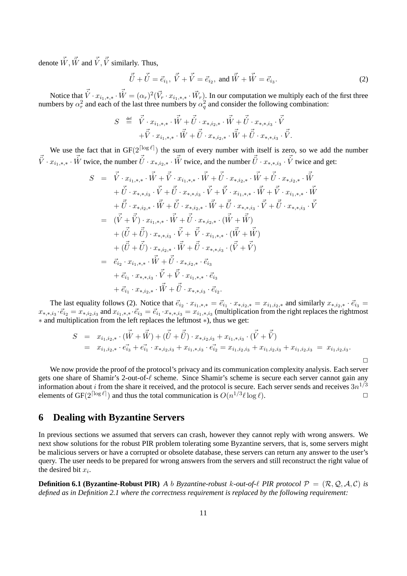denote  $\vec{W}, \vec{W}$  and  $\vec{V}, \vec{V}$  similarly. Thus,

$$
\vec{\tilde{U}} + \vec{\tilde{U}} = \vec{e}_{i_1}, \ \vec{\tilde{V}} + \vec{\tilde{V}} = \vec{e}_{i_2}, \text{ and } \vec{\tilde{W}} + \vec{\tilde{W}} = \vec{e}_{i_3}.
$$
 (2)

Notice that  $\vec{V} \cdot x_{i_1,*,*} \cdot \vec{W} = (\alpha_r)^2 (\vec{V}_r \cdot x_{i_1,*,*} \cdot \vec{W}_r)$ . In our computation we multiply each of the first three numbers by  $\alpha_r^2$  and each of the last three numbers by  $\alpha_q^2$  and consider the following combination:

$$
S \stackrel{\text{def}}{=} \vec{V} \cdot x_{i_1,*,*} \cdot \vec{W} + \vec{U} \cdot x_{*,i_2,*} \cdot \vec{W} + \vec{U} \cdot x_{*,i_3} \cdot \vec{V} + \vec{V} \cdot x_{i_1,*,*} \cdot \vec{W} + \vec{U} \cdot x_{*,i_2,*} \cdot \vec{W} + \vec{U} \cdot x_{*,i_3} \cdot \vec{V}.
$$

We use the fact that in  $GF(2^{\lceil \log \ell \rceil})$  the sum of every number with itself is zero, so we add the number  $\vec{V} \cdot x_{i_1,*,*} \cdot \vec{W}$  twice, the number  $\vec{U} \cdot x_{*,i_2,*} \cdot \vec{W}$  twice, and the number  $\vec{U} \cdot x_{*,*,i_3} \cdot \vec{V}$  twice and get:

$$
S = \vec{V} \cdot x_{i_1,*,*} \cdot \vec{W} + \vec{V} \cdot x_{i_1,*,*} \cdot \vec{W} + \vec{U} \cdot x_{*,i_2,*} \cdot \vec{W} + \vec{U} \cdot x_{*,i_2,*} \cdot \vec{W} + \vec{U} \cdot x_{*,*,i_3} \cdot \vec{V} + \vec{U} \cdot x_{*,*,i_3} \cdot \vec{V} + \vec{V} \cdot x_{i_1,*,*} \cdot \vec{W} + \vec{V} \cdot x_{i_1,*,*} \cdot \vec{W} + \vec{U} \cdot x_{*,i_2,*} \cdot \vec{W} + \vec{U} \cdot x_{*,i_2,*} \cdot \vec{W} + \vec{U} \cdot x_{*,*,i_3} \cdot \vec{V} + \vec{U} \cdot x_{*,*,i_3} \cdot \vec{V} = (\vec{V} + \vec{V}) \cdot x_{i_1,*,*} \cdot \vec{W} + \vec{U} \cdot x_{*,i_2,*} \cdot (\vec{W} + \vec{W}) + (\vec{U} + \vec{U}) \cdot x_{*,*,i_3} \cdot \vec{V} + \vec{V} \cdot x_{i_1,*,*} \cdot (\vec{W} + \vec{W}) + (\vec{U} + \vec{U}) \cdot x_{*,i_2,*} \cdot \vec{W} + \vec{U} \cdot x_{*,*,i_3} \cdot (\vec{V} + \vec{V}) = \vec{e}_{i_2} \cdot x_{i_1,*,*} \cdot \vec{W} + \vec{U} \cdot x_{i_1,*,*} \cdot \vec{e}_{i_3} + \vec{e}_{i_1} \cdot x_{*,i_3} \cdot \vec{V} + \vec{V} \cdot x_{i_1,*,*} \cdot \vec{e}_{i_3} + \vec{e}_{i_1} \cdot x_{i_2,*,*} \cdot \vec{W} + \vec{U} \cdot x_{*,i_3, *} \cdot \vec{e}_{i_2}.
$$

The last equality follows (2). Notice that  $\vec{e}_{i_2} \cdot x_{i_1,*, *} = \vec{e}_{i_1} \cdot x_{*,i_2,*} = x_{i_1,i_2,*}$  and similarly  $x_{*,i_2,*} \cdot \vec{e}_{i_3} =$  $x_{*,*,i_3} \cdot \vec{e}_{i_2} = x_{*,i_2,i_3}$  and  $x_{i_1,*,*} \cdot \vec{e}_{i_3} = \vec{e}_{i_1} \cdot x_{*,*,i_3} = x_{i_1,*,i_3}$  (multiplication from the right replaces the rightmost ∗ and multiplication from the left replaces the leftmost ∗), thus we get:

$$
S = x_{i_1, i_2,*} \cdot (\vec{W} + \vec{W}) + (\vec{U} + \vec{U}) \cdot x_{*,i_2, i_3} + x_{i_1,*,i_3} \cdot (\vec{V} + \vec{V})
$$
  
=  $x_{i_1, i_2,*} \cdot e_{i_3}^{\perp} + e_{i_1}^{\perp} \cdot x_{*,i_2, i_3} + x_{i_1,*,i_3} \cdot e_{i_2}^{\perp} = x_{i_1, i_2, i_3} + x_{i_1, i_2, i_3} + x_{i_1, i_2, i_3} = x_{i_1, i_2, i_3}.$ 

We now provide the proof of the protocol's privacy and its communication complexity analysis. Each server gets one share of Shamir's 2-out-of- $\ell$  scheme. Since Shamir's scheme is secure each server cannot gain any information about i from the share it received, and the protocol is secure. Each server sends and receives  $3n^{1/3}$ elements of GF( $2^{\lceil \log \ell \rceil}$ ) and thus the total communication is  $O(n^{1/3}\ell \log \ell)$ .

# **6 Dealing with Byzantine Servers**

In previous sections we assumed that servers can crash, however they cannot reply with wrong answers. We next show solutions for the robust PIR problem tolerating some Byzantine servers, that is, some servers might be malicious servers or have a corrupted or obsolete database, these servers can return any answer to the user's query. The user needs to be prepared for wrong answers from the servers and still reconstruct the right value of the desired bit  $x_i$ .

**Definition 6.1 (Byzantine-Robust PIR)** *A* b *Byzantine-robust* k-out-of- $\ell$  *PIR protocol*  $P = (R, Q, A, C)$  *is defined as in Definition 2.1 where the correctness requirement is replaced by the following requirement:*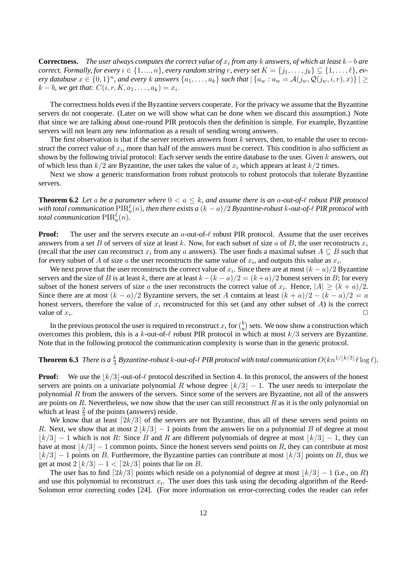**Correctness.** *The user always computes the correct value of* x<sup>i</sup> *from any* k *answers, of which at least* k−b *are correct. Formally, for every*  $i \in \{1, ..., n\}$ , every random string r, every set  $K = \{j_1, ..., j_k\} \subseteq \{1, ..., \ell\}$ , ev $e$ ry database  $x \in \{0,1\}^n$ , and every  $k$  answers  $\{a_1,\ldots,a_k\}$  such that  $|\{a_w:a_w={\cal A}(j_w,{\cal Q}(j_w,i,r),x)\}|$   $\ge$  $k-b$ , we get that:  $C(i, r, K, a_1, \ldots, a_k) = x_i$ .

The correctness holds even if the Byzantine servers cooperate. For the privacy we assume that the Byzantine servers do not cooperate. (Later on we will show what can be done when we discard this assumption.) Note that since we are talking about one-round PIR protocols then the definition is simple. For example, Byzantine servers will not learn any new information as a result of sending wrong answers.

The first observation is that if the server receives answers from  $k$  servers, then, to enable the user to reconstruct the correct value of  $x_i$ , more than half of the answers must be correct. This condition is also sufficient as shown by the following trivial protocol: Each server sends the entire database to the user. Given k answers, out of which less than  $k/2$  are Byzantine, the user takes the value of  $x_i$  which appears at least  $k/2$  times.

Next we show a generic transformation from robust protocols to robust protocols that tolerate Byzantine servers.

**Theorem 6.2** *Let* a *be a parameter where*  $0 < a \leq k$ *, and assume there is an a-out-of-* $\ell$  *robust PIR protocol* with total communication  $\mathrm{PR}_a^\ell(n)$ , then there exists a  $(k-a)/2$  Byzantine-robust  $k$ -out-of- $\ell$  PIR protocol with *total communication*  $\text{PIR}_a^{\ell}(n)$ .

**Proof:** The user and the servers execute an  $a$ -out-of- $\ell$  robust PIR protocol. Assume that the user receives answers from a set B of servers of size at least k. Now, for each subset of size a of B, the user reconstructs  $x_i$ (recall that the user can reconstruct  $x_i$  from any a answers). The user finds a maximal subset  $A \subseteq B$  such that for every subset of A of size a the user reconstructs the same value of  $x_i$ , and outputs this value as  $x_i$ .

We next prove that the user reconstructs the correct value of  $x_i$ . Since there are at most  $(k-a)/2$  Byzantine servers and the size of B is at least k, there are at least  $k-(k-a)/2 = (k+a)/2$  honest servers in B; for every subset of the honest servers of size a the user reconstructs the correct value of  $x_i$ . Hence,  $|A| \geq (k+a)/2$ . Since there are at most  $(k - a)/2$  Byzantine servers, the set A contains at least  $(k + a)/2 - (k - a)/2 = a$ honest servers, therefore the value of  $x_i$  reconstructed for this set (and any other subset of A) is the correct value of  $x_i$ . . The contract of the contract of the contract of the contract of the contract of the contract of the contract of the contract of the contract of the contract of the contract of the contract of the contract of the contrac

In the previous protocol the user is required to reconstruct  $x_i$  for  $\binom{k}{a}$  $\binom{k}{a}$  sets. We now show a construction which overcomes this problem, this is a k-out-of- $\ell$  robust PIR protocol in which at most  $k/3$  servers are Byzantine. Note that in the following protocol the communication complexity is worse than in the generic protocol.

# **Theorem 6.3** There is a  $\frac{k}{3}$  Byzantine-robust k-out-of- $\ell$  PIR protocol with total communication  $O(kn^{1/\lfloor k/3 \rfloor}\ell \log \ell)$ .

**Proof:** We use the  $\lfloor k/3 \rfloor$ -out-of- $\ell$  protocol described in Section 4. In this protocol, the answers of the honest servers are points on a univariate polynomial R whose degree  $\lfloor k/3 \rfloor - 1$ . The user needs to interpolate the polynomial  $R$  from the answers of the servers. Since some of the servers are Byzantine, not all of the answers are points on R. Nevertheless, we now show that the user can still reconstruct R as it is the only polynomial on which at least  $\frac{2}{3}$  of the points (answers) reside.

We know that at least  $\lceil 2k/3 \rceil$  of the servers are not Byzantine, thus all of these servers send points on R. Next, we show that at most  $2 \lfloor k/3 \rfloor - 1$  points from the answers lie on a polynomial B of degree at most  $\lfloor k/3 \rfloor - 1$  which is not R: Since B and R are different polynomials of degree at most  $\lfloor k/3 \rfloor - 1$ , they can have at most  $\lfloor k/3 \rfloor - 1$  common points. Since the honest servers send points on R, they can contribute at most  $k/3$  − 1 points on B. Furthermore, the Byzantine parties can contribute at most  $k/3$  points on B, thus we get at most  $2 |k/3 - 1| < 2k/3$  points that lie on B.

The user has to find  $\lceil 2k/3 \rceil$  points which reside on a polynomial of degree at most  $\lfloor k/3 \rfloor - 1$  (i.e., on R) and use this polynomial to reconstruct  $x_i$ . The user does this task using the decoding algorithm of the Reed-Solomon error correcting codes [24]. (For more information on error-correcting codes the reader can refer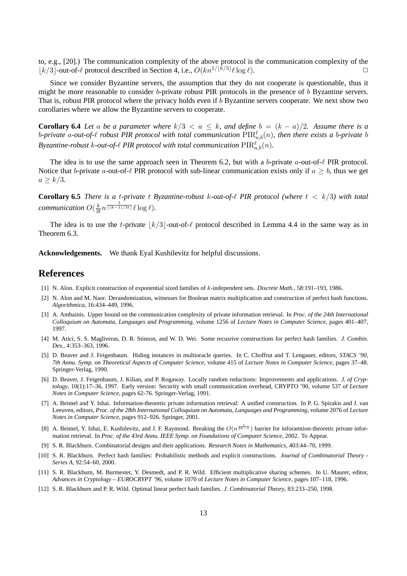to, e.g., [20].) The communication complexity of the above protocol is the communication complexity of the  $\lfloor k/3 \rfloor$ -out-of- $\ell$  protocol described in Section 4, i.e.,  $O(kn^{1/\lfloor k/3 \rfloor} \ell \log \ell)$ .

Since we consider Byzantine servers, the assumption that they do not cooperate is questionable, thus it might be more reasonable to consider b-private robust PIR protocols in the presence of b Byzantine servers. That is, robust PIR protocol where the privacy holds even if b Byzantine servers cooperate. We next show two corollaries where we allow the Byzantine servers to cooperate.

**Corollary 6.4** *Let* a *be* a parameter where  $k/3 < a \leq k$ , and define  $b = (k - a)/2$ . Assume there is a b-private a-out-of- $\ell$  robust PIR protocol with total communication  $\text{PIR}_{a,b}^{\ell}(n)$ , then there exists a b-private b Byzantine-robust  $k$ -out-of- $\ell$  PIR protocol with total communication  $\text{PIR}_{a,b}^{\ell}(n)$ .

The idea is to use the same approach seen in Theorem 6.2, but with a b-private a-out-of- $\ell$  PIR protocol. Notice that b-private a-out-of- $\ell$  PIR protocol with sub-linear communication exists only if  $a \geq b$ , thus we get  $a \geq k/3$ .

**Corollary 6.5** *There is a t-private t Byzantine-robust k-out-of-* $\ell$  *PIR protocol (where*  $t < k/3$ ) with total *communication*  $O(\frac{k}{34})$  $\frac{k}{3t} n^{\frac{1}{\left\lfloor (k-1)/3t \right\rfloor}} \ell \log \ell$ ).

The idea is to use the t-private  $\lfloor k/3 \rfloor$ -out-of- $\ell$  protocol described in Lemma 4.4 in the same way as in Theorem 6.3.

**Acknowledgements.** We thank Eyal Kushilevitz for helpful discussions.

### **References**

- [1] N. Alon. Explicit construction of exponential sized families of k-independent sets. *Discrete Math.*, 58:191–193, 1986.
- [2] N. Alon and M. Naor. Derandomization, witnesses for Boolean matrix multiplication and construction of perfect hash functions. *Algorithmica*, 16:434–449, 1996.
- [3] A. Ambainis. Upper bound on the communication complexity of private information retrieval. In *Proc. of the 24th International Colloquium on Automata, Languages and Programming*, volume 1256 of *Lecture Notes in Computer Science*, pages 401–407, 1997.
- [4] M. Atici, S. S. Magliveras, D. R. Stinson, and W. D. Wei. Some recusrive constructions for perfect hash families. *J. Combin. Des.*, 4:353–363, 1996.
- [5] D. Beaver and J. Feigenbaum. Hiding instances in multioracle queries. In C. Choffrut and T. Lengauer, editors, *STACS '90, 7th Annu. Symp. on Theoretical Aspects of Computer Science*, volume 415 of *Lecture Notes in Computer Science*, pages 37–48. Springer-Verlag, 1990.
- [6] D. Beaver, J. Feigenbaum, J. Kilian, and P. Rogaway. Locally random reductions: Improvements and applications. *J. of Cryptology*, 10(1):17–36, 1997. Early version: Security with small communication overhead, CRYPTO '90, volume 537 of *Lecture Notes in Computer Science*, pages 62-76. Springer-Verlag, 1991.
- [7] A. Beimel and Y. Ishai. Information-theoretic private information retrieval: A unified construction. In P. G. Spirakis and J. van Leeuven, editors, *Proc. of the 28th International Colloquium on Automata, Languages and Programming*, volume 2076 of *Lecture Notes in Computer Science*, pages 912–926. Springer, 2001.
- [8] A. Beimel, Y. Ishai, E. Kushilevitz, and J. F. Raymond. Breaking the  $O(n^{\frac{1}{2k-1}})$  barrier for inforamtion-theoretic private information retrieval. In *Proc. of the 43rd Annu. IEEE Symp. on Foundations of Computer Science*, 2002. To Appear.
- [9] S. R. Blackburn. Combinatorial designs and their applications. *Research Notes in Mathematics*, 403:44–70, 1999.
- [10] S. R. Blackburn. Perfect hash families: Probabilistic methods and explicit constructions. *Journal of Combinatorial Theory - Series A*, 92:54–60, 2000.
- [11] S. R. Blackburn, M. Burmester, Y. Desmedt, and P. R. Wild. Efficient multiplicative sharing schemes. In U. Maurer, editor, *Advances in Cryptology – EUROCRYPT '96*, volume 1070 of *Lecture Notes in Computer Science*, pages 107–118, 1996.
- [12] S. R. Blackburn and P. R. Wild. Optimal linear perfect hash families. *J. Combinatorial Theory*, 83:233–250, 1998.